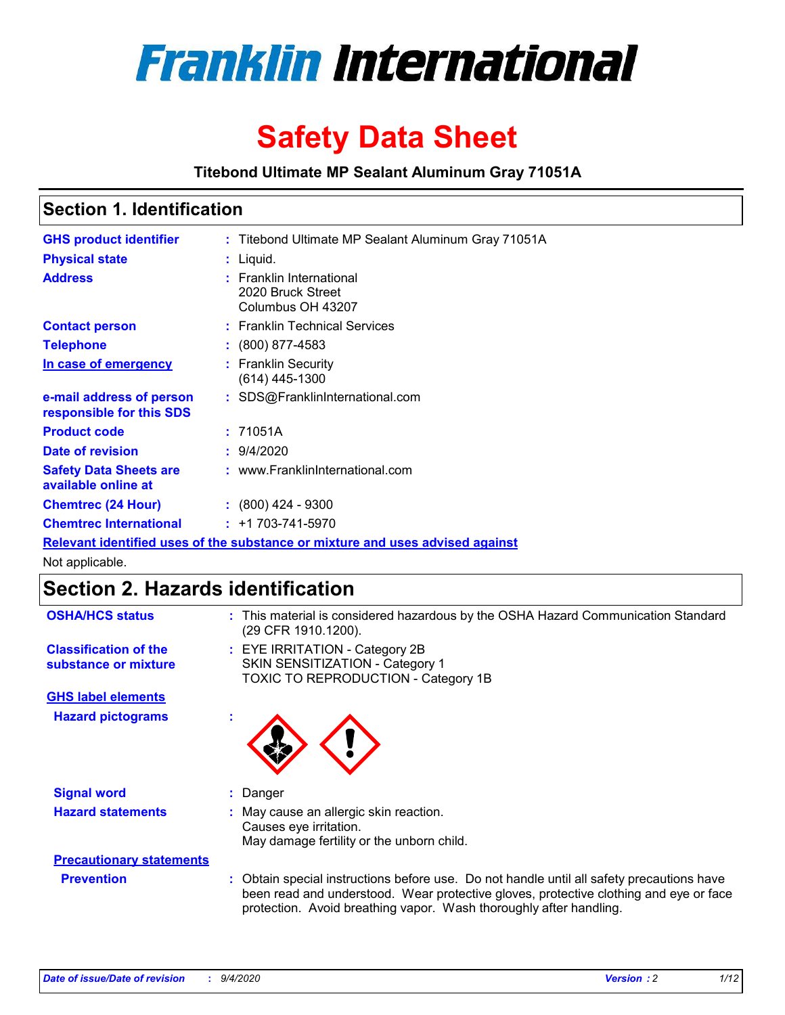

# **Safety Data Sheet**

**Titebond Ultimate MP Sealant Aluminum Gray 71051A**

### **Section 1. Identification**

| <b>GHS product identifier</b>                        | : Titebond Ultimate MP Sealant Aluminum Gray 71051A                           |
|------------------------------------------------------|-------------------------------------------------------------------------------|
| <b>Physical state</b>                                | : Liquid.                                                                     |
| <b>Address</b>                                       | : Franklin International<br>2020 Bruck Street<br>Columbus OH 43207            |
| <b>Contact person</b>                                | : Franklin Technical Services                                                 |
| <b>Telephone</b>                                     | $\colon$ (800) 877-4583                                                       |
| In case of emergency                                 | : Franklin Security<br>(614) 445-1300                                         |
| e-mail address of person<br>responsible for this SDS | : SDS@FranklinInternational.com                                               |
| <b>Product code</b>                                  | : 71051A                                                                      |
| Date of revision                                     | : 9/4/2020                                                                    |
| <b>Safety Data Sheets are</b><br>available online at | : www.FranklinInternational.com                                               |
| <b>Chemtrec (24 Hour)</b>                            | $: (800)$ 424 - 9300                                                          |
| <b>Chemtrec International</b>                        | $: +1703 - 741 - 5970$                                                        |
|                                                      | Relevant identified uses of the substance or mixture and uses advised against |

Not applicable.

## **Section 2. Hazards identification**

| <b>OSHA/HCS status</b>                               |    | : This material is considered hazardous by the OSHA Hazard Communication Standard<br>(29 CFR 1910.1200).                                                                                                                                                 |
|------------------------------------------------------|----|----------------------------------------------------------------------------------------------------------------------------------------------------------------------------------------------------------------------------------------------------------|
| <b>Classification of the</b><br>substance or mixture |    | : EYE IRRITATION - Category 2B<br>SKIN SENSITIZATION - Category 1<br>TOXIC TO REPRODUCTION - Category 1B                                                                                                                                                 |
| <b>GHS label elements</b>                            |    |                                                                                                                                                                                                                                                          |
| <b>Hazard pictograms</b>                             | ٠  |                                                                                                                                                                                                                                                          |
| <b>Signal word</b>                                   | ÷. | Danger                                                                                                                                                                                                                                                   |
| <b>Hazard statements</b>                             |    | May cause an allergic skin reaction.<br>Causes eye irritation.<br>May damage fertility or the unborn child.                                                                                                                                              |
| <b>Precautionary statements</b>                      |    |                                                                                                                                                                                                                                                          |
| <b>Prevention</b>                                    |    | : Obtain special instructions before use. Do not handle until all safety precautions have<br>been read and understood. Wear protective gloves, protective clothing and eye or face<br>protection. Avoid breathing vapor. Wash thoroughly after handling. |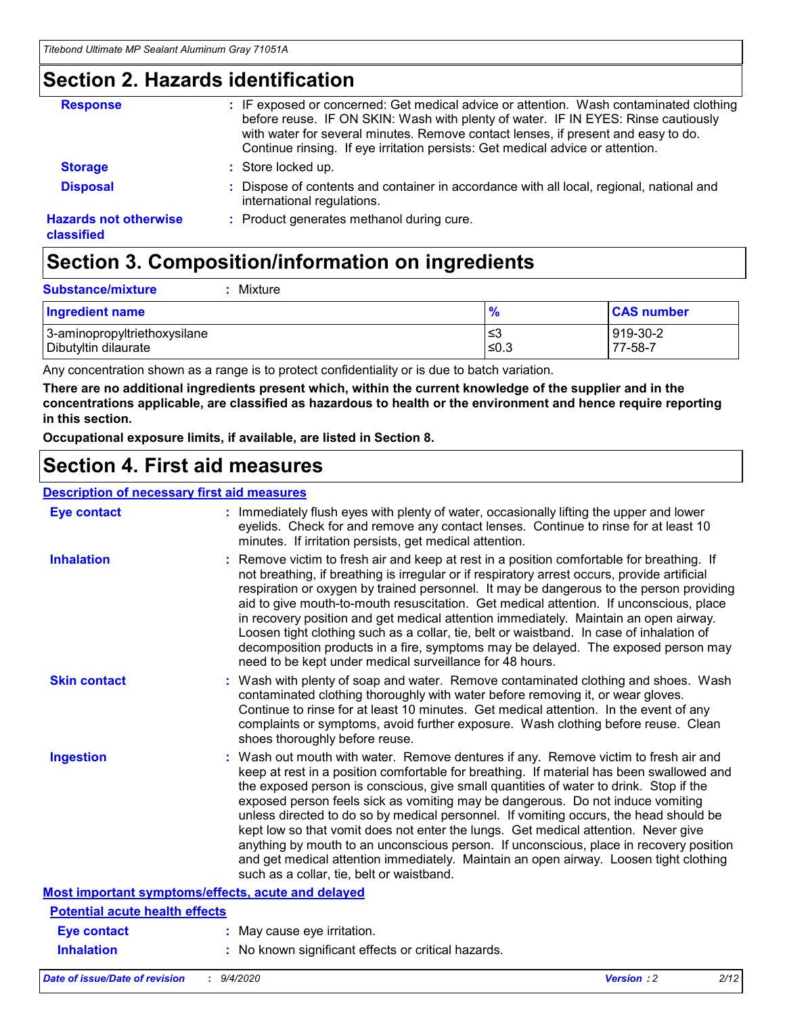### **Section 2. Hazards identification**

| <b>Response</b>                            | : IF exposed or concerned: Get medical advice or attention. Wash contaminated clothing<br>before reuse. IF ON SKIN: Wash with plenty of water. IF IN EYES: Rinse cautiously<br>with water for several minutes. Remove contact lenses, if present and easy to do.<br>Continue rinsing. If eye irritation persists: Get medical advice or attention. |
|--------------------------------------------|----------------------------------------------------------------------------------------------------------------------------------------------------------------------------------------------------------------------------------------------------------------------------------------------------------------------------------------------------|
| <b>Storage</b>                             | : Store locked up.                                                                                                                                                                                                                                                                                                                                 |
| <b>Disposal</b>                            | : Dispose of contents and container in accordance with all local, regional, national and<br>international regulations.                                                                                                                                                                                                                             |
| <b>Hazards not otherwise</b><br>classified | : Product generates methanol during cure.                                                                                                                                                                                                                                                                                                          |

# **Section 3. Composition/information on ingredients**

| <b>Substance/mixture</b> | : Mixture |
|--------------------------|-----------|
|                          |           |

| <b>Ingredient name</b>       | $\bullet$<br>70 | <b>CAS number</b> |
|------------------------------|-----------------|-------------------|
| 3-aminopropyltriethoxysilane | צ≥              | 919-30-2          |
| Dibutyltin dilaurate         | ≤0.3            | 77-58-7           |

Any concentration shown as a range is to protect confidentiality or is due to batch variation.

**There are no additional ingredients present which, within the current knowledge of the supplier and in the concentrations applicable, are classified as hazardous to health or the environment and hence require reporting in this section.**

**Occupational exposure limits, if available, are listed in Section 8.**

### **Section 4. First aid measures**

| <b>Description of necessary first aid measures</b> |                                                                                                                                                                                                                                                                                                                                                                                                                                                                                                                                                                                                                                                                                                                                                                           |
|----------------------------------------------------|---------------------------------------------------------------------------------------------------------------------------------------------------------------------------------------------------------------------------------------------------------------------------------------------------------------------------------------------------------------------------------------------------------------------------------------------------------------------------------------------------------------------------------------------------------------------------------------------------------------------------------------------------------------------------------------------------------------------------------------------------------------------------|
| <b>Eye contact</b>                                 | : Immediately flush eyes with plenty of water, occasionally lifting the upper and lower<br>eyelids. Check for and remove any contact lenses. Continue to rinse for at least 10<br>minutes. If irritation persists, get medical attention.                                                                                                                                                                                                                                                                                                                                                                                                                                                                                                                                 |
| <b>Inhalation</b>                                  | : Remove victim to fresh air and keep at rest in a position comfortable for breathing. If<br>not breathing, if breathing is irregular or if respiratory arrest occurs, provide artificial<br>respiration or oxygen by trained personnel. It may be dangerous to the person providing<br>aid to give mouth-to-mouth resuscitation. Get medical attention. If unconscious, place<br>in recovery position and get medical attention immediately. Maintain an open airway.<br>Loosen tight clothing such as a collar, tie, belt or waistband. In case of inhalation of<br>decomposition products in a fire, symptoms may be delayed. The exposed person may<br>need to be kept under medical surveillance for 48 hours.                                                       |
| <b>Skin contact</b>                                | : Wash with plenty of soap and water. Remove contaminated clothing and shoes. Wash<br>contaminated clothing thoroughly with water before removing it, or wear gloves.<br>Continue to rinse for at least 10 minutes. Get medical attention. In the event of any<br>complaints or symptoms, avoid further exposure. Wash clothing before reuse. Clean<br>shoes thoroughly before reuse.                                                                                                                                                                                                                                                                                                                                                                                     |
| <b>Ingestion</b>                                   | : Wash out mouth with water. Remove dentures if any. Remove victim to fresh air and<br>keep at rest in a position comfortable for breathing. If material has been swallowed and<br>the exposed person is conscious, give small quantities of water to drink. Stop if the<br>exposed person feels sick as vomiting may be dangerous. Do not induce vomiting<br>unless directed to do so by medical personnel. If vomiting occurs, the head should be<br>kept low so that vomit does not enter the lungs. Get medical attention. Never give<br>anything by mouth to an unconscious person. If unconscious, place in recovery position<br>and get medical attention immediately. Maintain an open airway. Loosen tight clothing<br>such as a collar, tie, belt or waistband. |
| Most important symptoms/effects, acute and delayed |                                                                                                                                                                                                                                                                                                                                                                                                                                                                                                                                                                                                                                                                                                                                                                           |
| <b>Potential acute health effects</b>              |                                                                                                                                                                                                                                                                                                                                                                                                                                                                                                                                                                                                                                                                                                                                                                           |
| <b>Eye contact</b>                                 | : May cause eye irritation.                                                                                                                                                                                                                                                                                                                                                                                                                                                                                                                                                                                                                                                                                                                                               |
| <b>Inhalation</b>                                  | : No known significant effects or critical hazards.                                                                                                                                                                                                                                                                                                                                                                                                                                                                                                                                                                                                                                                                                                                       |
|                                                    |                                                                                                                                                                                                                                                                                                                                                                                                                                                                                                                                                                                                                                                                                                                                                                           |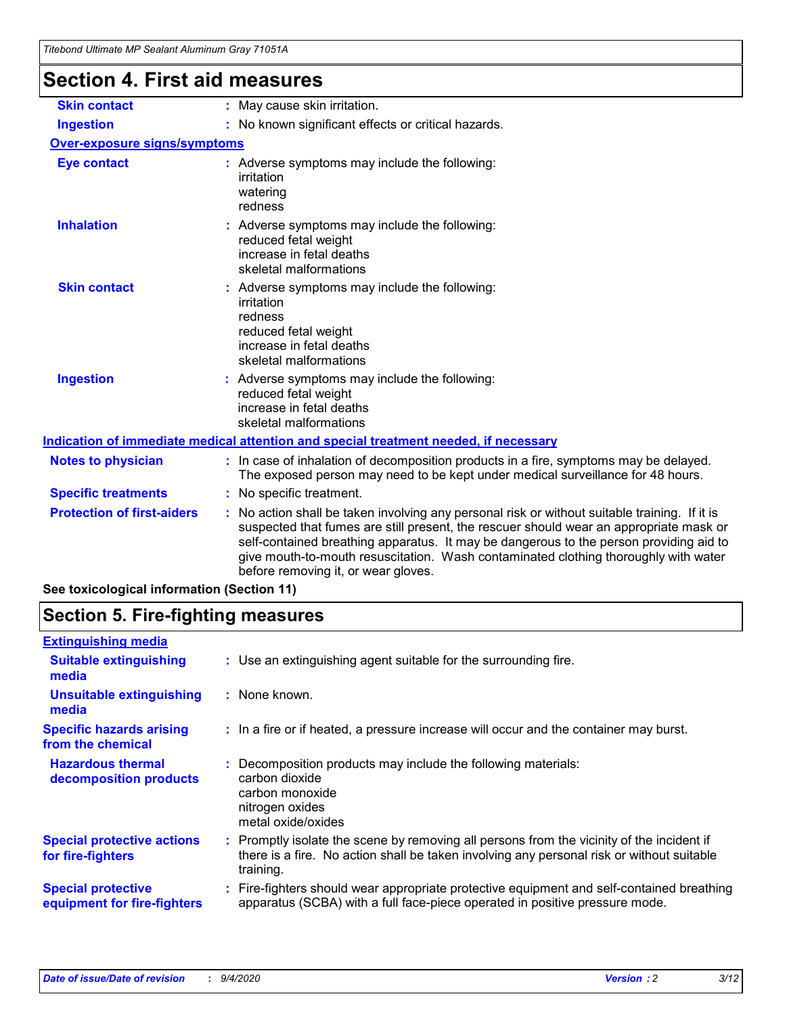### **Section 4. First aid measures**

| <b>Skin contact</b>                 | : May cause skin irritation.                                                                                                                                                                                                                                                                                                                                                                                    |
|-------------------------------------|-----------------------------------------------------------------------------------------------------------------------------------------------------------------------------------------------------------------------------------------------------------------------------------------------------------------------------------------------------------------------------------------------------------------|
| <b>Ingestion</b>                    | : No known significant effects or critical hazards.                                                                                                                                                                                                                                                                                                                                                             |
| <b>Over-exposure signs/symptoms</b> |                                                                                                                                                                                                                                                                                                                                                                                                                 |
| <b>Eye contact</b>                  | : Adverse symptoms may include the following:<br>irritation<br>watering<br>redness                                                                                                                                                                                                                                                                                                                              |
| <b>Inhalation</b>                   | : Adverse symptoms may include the following:<br>reduced fetal weight<br>increase in fetal deaths<br>skeletal malformations                                                                                                                                                                                                                                                                                     |
| <b>Skin contact</b>                 | : Adverse symptoms may include the following:<br>irritation<br>redness<br>reduced fetal weight<br>increase in fetal deaths<br>skeletal malformations                                                                                                                                                                                                                                                            |
| <b>Ingestion</b>                    | : Adverse symptoms may include the following:<br>reduced fetal weight<br>increase in fetal deaths<br>skeletal malformations                                                                                                                                                                                                                                                                                     |
|                                     | <u>Indication of immediate medical attention and special treatment needed, if necessary</u>                                                                                                                                                                                                                                                                                                                     |
| <b>Notes to physician</b>           | : In case of inhalation of decomposition products in a fire, symptoms may be delayed.<br>The exposed person may need to be kept under medical surveillance for 48 hours.                                                                                                                                                                                                                                        |
| <b>Specific treatments</b>          | : No specific treatment.                                                                                                                                                                                                                                                                                                                                                                                        |
| <b>Protection of first-aiders</b>   | : No action shall be taken involving any personal risk or without suitable training. If it is<br>suspected that fumes are still present, the rescuer should wear an appropriate mask or<br>self-contained breathing apparatus. It may be dangerous to the person providing aid to<br>give mouth-to-mouth resuscitation. Wash contaminated clothing thoroughly with water<br>before removing it, or wear gloves. |
|                                     |                                                                                                                                                                                                                                                                                                                                                                                                                 |

**See toxicological information (Section 11)**

### **Section 5. Fire-fighting measures**

| <b>Extinguishing media</b>                               |                                                                                                                                                                                                     |
|----------------------------------------------------------|-----------------------------------------------------------------------------------------------------------------------------------------------------------------------------------------------------|
| <b>Suitable extinguishing</b><br>media                   | : Use an extinguishing agent suitable for the surrounding fire.                                                                                                                                     |
| <b>Unsuitable extinguishing</b><br>media                 | : None known.                                                                                                                                                                                       |
| <b>Specific hazards arising</b><br>from the chemical     | : In a fire or if heated, a pressure increase will occur and the container may burst.                                                                                                               |
| <b>Hazardous thermal</b><br>decomposition products       | : Decomposition products may include the following materials:<br>carbon dioxide<br>carbon monoxide<br>nitrogen oxides<br>metal oxide/oxides                                                         |
| <b>Special protective actions</b><br>for fire-fighters   | : Promptly isolate the scene by removing all persons from the vicinity of the incident if<br>there is a fire. No action shall be taken involving any personal risk or without suitable<br>training. |
| <b>Special protective</b><br>equipment for fire-fighters | Fire-fighters should wear appropriate protective equipment and self-contained breathing<br>apparatus (SCBA) with a full face-piece operated in positive pressure mode.                              |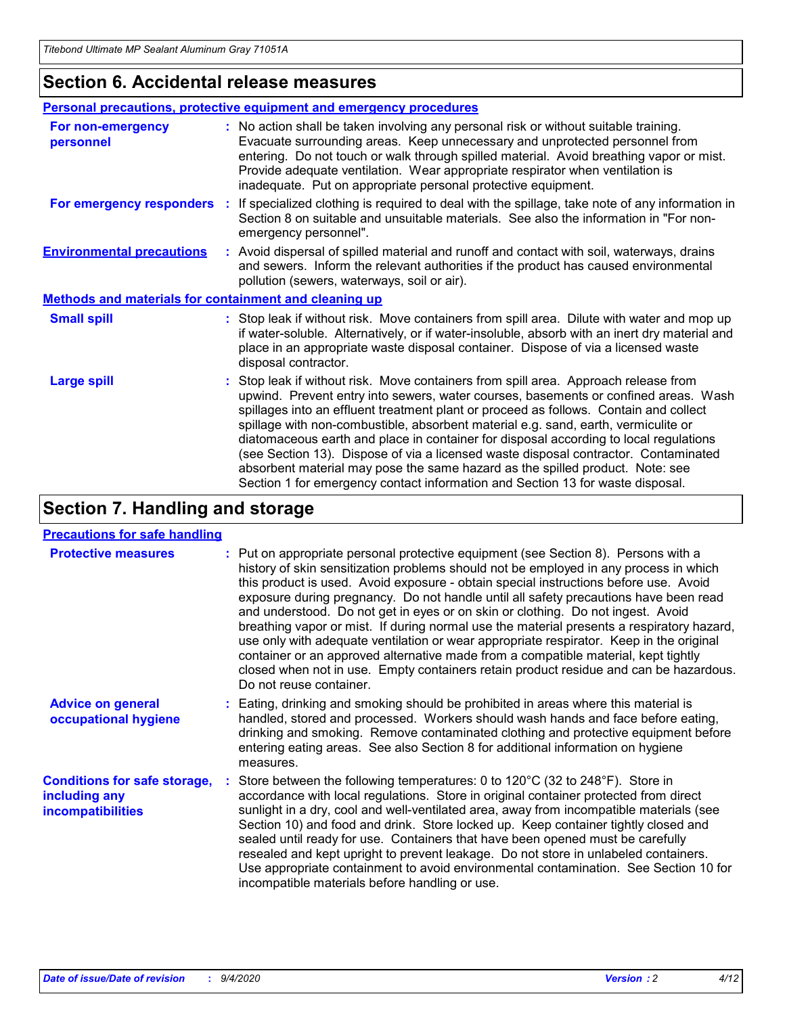### **Section 6. Accidental release measures**

|                                                              | Personal precautions, protective equipment and emergency procedures                                                                                                                                                                                                                                                                                                                                                                                                                                                                                                                                                                                                                                          |
|--------------------------------------------------------------|--------------------------------------------------------------------------------------------------------------------------------------------------------------------------------------------------------------------------------------------------------------------------------------------------------------------------------------------------------------------------------------------------------------------------------------------------------------------------------------------------------------------------------------------------------------------------------------------------------------------------------------------------------------------------------------------------------------|
| For non-emergency<br>personnel                               | : No action shall be taken involving any personal risk or without suitable training.<br>Evacuate surrounding areas. Keep unnecessary and unprotected personnel from<br>entering. Do not touch or walk through spilled material. Avoid breathing vapor or mist.<br>Provide adequate ventilation. Wear appropriate respirator when ventilation is<br>inadequate. Put on appropriate personal protective equipment.                                                                                                                                                                                                                                                                                             |
| For emergency responders                                     | : If specialized clothing is required to deal with the spillage, take note of any information in<br>Section 8 on suitable and unsuitable materials. See also the information in "For non-<br>emergency personnel".                                                                                                                                                                                                                                                                                                                                                                                                                                                                                           |
| <b>Environmental precautions</b>                             | : Avoid dispersal of spilled material and runoff and contact with soil, waterways, drains<br>and sewers. Inform the relevant authorities if the product has caused environmental<br>pollution (sewers, waterways, soil or air).                                                                                                                                                                                                                                                                                                                                                                                                                                                                              |
| <b>Methods and materials for containment and cleaning up</b> |                                                                                                                                                                                                                                                                                                                                                                                                                                                                                                                                                                                                                                                                                                              |
| <b>Small spill</b>                                           | : Stop leak if without risk. Move containers from spill area. Dilute with water and mop up<br>if water-soluble. Alternatively, or if water-insoluble, absorb with an inert dry material and<br>place in an appropriate waste disposal container. Dispose of via a licensed waste<br>disposal contractor.                                                                                                                                                                                                                                                                                                                                                                                                     |
| <b>Large spill</b>                                           | : Stop leak if without risk. Move containers from spill area. Approach release from<br>upwind. Prevent entry into sewers, water courses, basements or confined areas. Wash<br>spillages into an effluent treatment plant or proceed as follows. Contain and collect<br>spillage with non-combustible, absorbent material e.g. sand, earth, vermiculite or<br>diatomaceous earth and place in container for disposal according to local regulations<br>(see Section 13). Dispose of via a licensed waste disposal contractor. Contaminated<br>absorbent material may pose the same hazard as the spilled product. Note: see<br>Section 1 for emergency contact information and Section 13 for waste disposal. |

### **Section 7. Handling and storage**

#### **Precautions for safe handling**

| <b>Protective measures</b>                                                       | : Put on appropriate personal protective equipment (see Section 8). Persons with a<br>history of skin sensitization problems should not be employed in any process in which<br>this product is used. Avoid exposure - obtain special instructions before use. Avoid<br>exposure during pregnancy. Do not handle until all safety precautions have been read<br>and understood. Do not get in eyes or on skin or clothing. Do not ingest. Avoid<br>breathing vapor or mist. If during normal use the material presents a respiratory hazard,<br>use only with adequate ventilation or wear appropriate respirator. Keep in the original<br>container or an approved alternative made from a compatible material, kept tightly<br>closed when not in use. Empty containers retain product residue and can be hazardous.<br>Do not reuse container. |
|----------------------------------------------------------------------------------|--------------------------------------------------------------------------------------------------------------------------------------------------------------------------------------------------------------------------------------------------------------------------------------------------------------------------------------------------------------------------------------------------------------------------------------------------------------------------------------------------------------------------------------------------------------------------------------------------------------------------------------------------------------------------------------------------------------------------------------------------------------------------------------------------------------------------------------------------|
| <b>Advice on general</b><br>occupational hygiene                                 | : Eating, drinking and smoking should be prohibited in areas where this material is<br>handled, stored and processed. Workers should wash hands and face before eating,<br>drinking and smoking. Remove contaminated clothing and protective equipment before<br>entering eating areas. See also Section 8 for additional information on hygiene<br>measures.                                                                                                                                                                                                                                                                                                                                                                                                                                                                                    |
| <b>Conditions for safe storage,</b><br>including any<br><i>incompatibilities</i> | Store between the following temperatures: 0 to $120^{\circ}$ C (32 to $248^{\circ}$ F). Store in<br>accordance with local regulations. Store in original container protected from direct<br>sunlight in a dry, cool and well-ventilated area, away from incompatible materials (see<br>Section 10) and food and drink. Store locked up. Keep container tightly closed and<br>sealed until ready for use. Containers that have been opened must be carefully<br>resealed and kept upright to prevent leakage. Do not store in unlabeled containers.<br>Use appropriate containment to avoid environmental contamination. See Section 10 for<br>incompatible materials before handling or use.                                                                                                                                                     |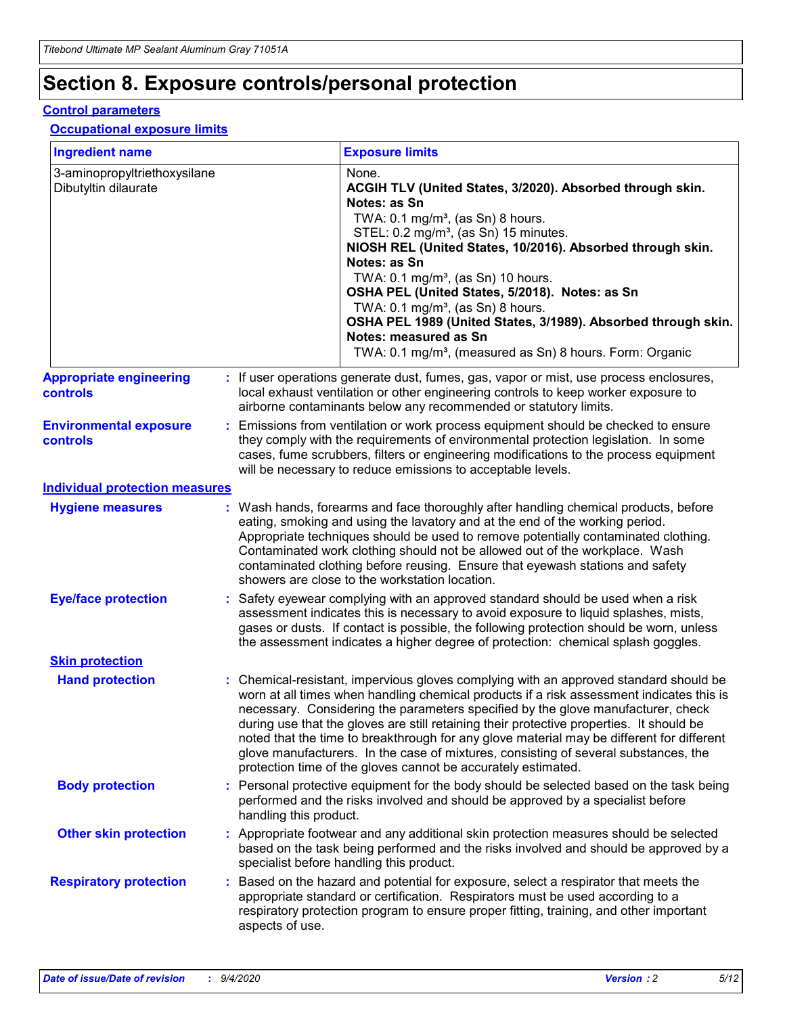# **Section 8. Exposure controls/personal protection**

#### **Control parameters**

#### **Occupational exposure limits**

| <b>Ingredient name</b>                               |    |                        | <b>Exposure limits</b>                                                                                                                                                                                                                                                                                                                                                                                                                                                                                                                                                                                                 |
|------------------------------------------------------|----|------------------------|------------------------------------------------------------------------------------------------------------------------------------------------------------------------------------------------------------------------------------------------------------------------------------------------------------------------------------------------------------------------------------------------------------------------------------------------------------------------------------------------------------------------------------------------------------------------------------------------------------------------|
| 3-aminopropyltriethoxysilane<br>Dibutyltin dilaurate |    |                        | None.<br>ACGIH TLV (United States, 3/2020). Absorbed through skin.<br>Notes: as Sn<br>TWA: 0.1 mg/m <sup>3</sup> , (as Sn) 8 hours.<br>STEL: 0.2 mg/m <sup>3</sup> , (as Sn) 15 minutes.<br>NIOSH REL (United States, 10/2016). Absorbed through skin.<br>Notes: as Sn<br>TWA: 0.1 mg/m <sup>3</sup> , (as Sn) 10 hours.<br>OSHA PEL (United States, 5/2018). Notes: as Sn<br>TWA: $0.1 \text{ mg/m}^3$ , (as Sn) 8 hours.<br>OSHA PEL 1989 (United States, 3/1989). Absorbed through skin.<br>Notes: measured as Sn<br>TWA: 0.1 mg/m <sup>3</sup> , (measured as Sn) 8 hours. Form: Organic                           |
| <b>Appropriate engineering</b><br>controls           |    |                        | : If user operations generate dust, fumes, gas, vapor or mist, use process enclosures,<br>local exhaust ventilation or other engineering controls to keep worker exposure to<br>airborne contaminants below any recommended or statutory limits.                                                                                                                                                                                                                                                                                                                                                                       |
| <b>Environmental exposure</b><br><b>controls</b>     |    |                        | Emissions from ventilation or work process equipment should be checked to ensure<br>they comply with the requirements of environmental protection legislation. In some<br>cases, fume scrubbers, filters or engineering modifications to the process equipment<br>will be necessary to reduce emissions to acceptable levels.                                                                                                                                                                                                                                                                                          |
| <b>Individual protection measures</b>                |    |                        |                                                                                                                                                                                                                                                                                                                                                                                                                                                                                                                                                                                                                        |
| <b>Hygiene measures</b>                              |    |                        | : Wash hands, forearms and face thoroughly after handling chemical products, before<br>eating, smoking and using the lavatory and at the end of the working period.<br>Appropriate techniques should be used to remove potentially contaminated clothing.<br>Contaminated work clothing should not be allowed out of the workplace. Wash<br>contaminated clothing before reusing. Ensure that eyewash stations and safety<br>showers are close to the workstation location.                                                                                                                                            |
| <b>Eye/face protection</b>                           |    |                        | : Safety eyewear complying with an approved standard should be used when a risk<br>assessment indicates this is necessary to avoid exposure to liquid splashes, mists,<br>gases or dusts. If contact is possible, the following protection should be worn, unless<br>the assessment indicates a higher degree of protection: chemical splash goggles.                                                                                                                                                                                                                                                                  |
| <b>Skin protection</b>                               |    |                        |                                                                                                                                                                                                                                                                                                                                                                                                                                                                                                                                                                                                                        |
| <b>Hand protection</b>                               |    |                        | : Chemical-resistant, impervious gloves complying with an approved standard should be<br>worn at all times when handling chemical products if a risk assessment indicates this is<br>necessary. Considering the parameters specified by the glove manufacturer, check<br>during use that the gloves are still retaining their protective properties. It should be<br>noted that the time to breakthrough for any glove material may be different for different<br>glove manufacturers. In the case of mixtures, consisting of several substances, the<br>protection time of the gloves cannot be accurately estimated. |
| <b>Body protection</b>                               |    | handling this product. | Personal protective equipment for the body should be selected based on the task being<br>performed and the risks involved and should be approved by a specialist before                                                                                                                                                                                                                                                                                                                                                                                                                                                |
| <b>Other skin protection</b>                         |    |                        | : Appropriate footwear and any additional skin protection measures should be selected<br>based on the task being performed and the risks involved and should be approved by a<br>specialist before handling this product.                                                                                                                                                                                                                                                                                                                                                                                              |
| <b>Respiratory protection</b>                        | ÷. | aspects of use.        | Based on the hazard and potential for exposure, select a respirator that meets the<br>appropriate standard or certification. Respirators must be used according to a<br>respiratory protection program to ensure proper fitting, training, and other important                                                                                                                                                                                                                                                                                                                                                         |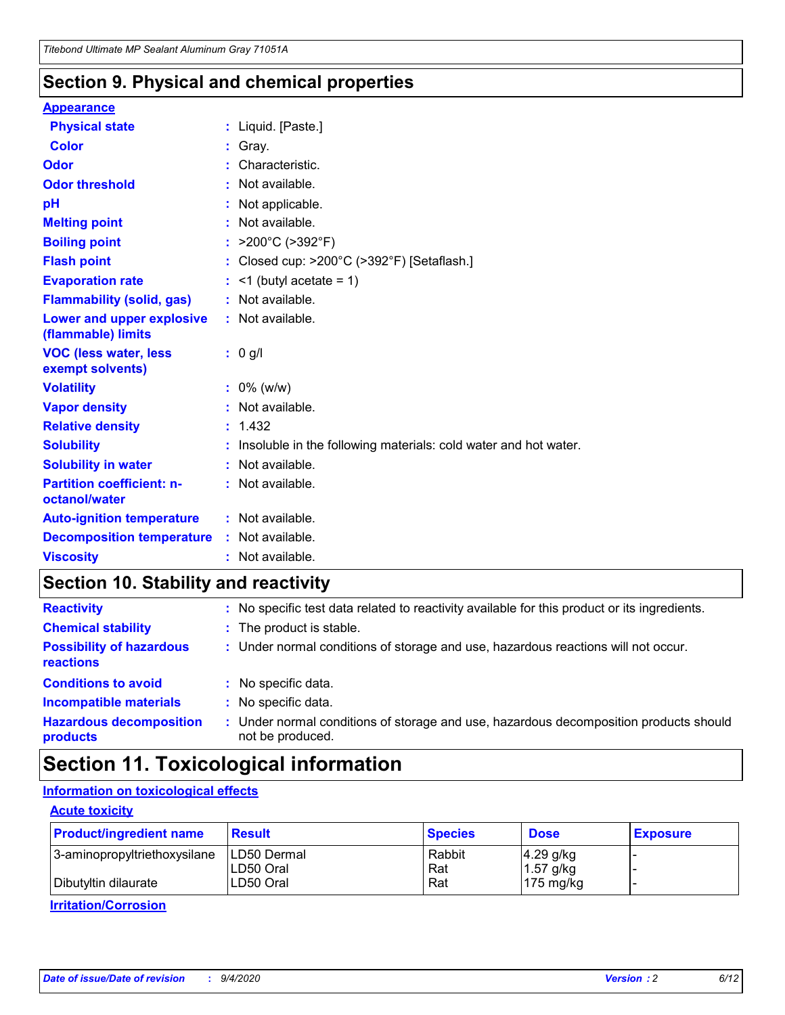### **Section 9. Physical and chemical properties**

#### **Appearance**

| <b>Physical state</b>                             | : Liquid. [Paste.]                                              |
|---------------------------------------------------|-----------------------------------------------------------------|
| Color                                             | Gray.                                                           |
| Odor                                              | : Characteristic.                                               |
| <b>Odor threshold</b>                             | $:$ Not available.                                              |
| рH                                                | : Not applicable.                                               |
| <b>Melting point</b>                              | : Not available.                                                |
| <b>Boiling point</b>                              | : $>200^{\circ}$ C ( $>392^{\circ}$ F)                          |
| <b>Flash point</b>                                | : Closed cup: >200°C (>392°F) [Setaflash.]                      |
| <b>Evaporation rate</b>                           | $:$ <1 (butyl acetate = 1)                                      |
| <b>Flammability (solid, gas)</b>                  | : Not available.                                                |
| Lower and upper explosive<br>(flammable) limits   | : Not available.                                                |
| <b>VOC (less water, less</b><br>exempt solvents)  | : 0 g/l                                                         |
| <b>Volatility</b>                                 | $: 0\%$ (w/w)                                                   |
| <b>Vapor density</b>                              | : Not available.                                                |
| <b>Relative density</b>                           | : 1.432                                                         |
| <b>Solubility</b>                                 | Insoluble in the following materials: cold water and hot water. |
|                                                   |                                                                 |
| <b>Solubility in water</b>                        | : Not available.                                                |
| <b>Partition coefficient: n-</b><br>octanol/water | : Not available.                                                |
| <b>Auto-ignition temperature</b>                  | : Not available.                                                |
| <b>Decomposition temperature</b>                  | : Not available.                                                |

### **Section 10. Stability and reactivity**

| <b>Reactivity</b>                            |    | : No specific test data related to reactivity available for this product or its ingredients.            |
|----------------------------------------------|----|---------------------------------------------------------------------------------------------------------|
| <b>Chemical stability</b>                    |    | : The product is stable.                                                                                |
| <b>Possibility of hazardous</b><br>reactions |    | : Under normal conditions of storage and use, hazardous reactions will not occur.                       |
| <b>Conditions to avoid</b>                   |    | : No specific data.                                                                                     |
| <b>Incompatible materials</b>                | ٠. | No specific data.                                                                                       |
| <b>Hazardous decomposition</b><br>products   | ÷. | Under normal conditions of storage and use, hazardous decomposition products should<br>not be produced. |

### **Section 11. Toxicological information**

#### **Information on toxicological effects**

#### **Acute toxicity**

| <b>Product/ingredient name</b> | <b>Result</b>           | <b>Species</b> | <b>Dose</b>                | <b>Exposure</b> |
|--------------------------------|-------------------------|----------------|----------------------------|-----------------|
| 3-aminopropyltriethoxysilane   | <b>ILD50 Dermal</b>     | Rabbit         | 4.29 g/kg                  |                 |
| Dibutyltin dilaurate           | ILD50 Oral<br>LD50 Oral | Rat<br>Rat     | $1.57$ g/kg<br>175 $mg/kg$ |                 |
|                                |                         |                |                            |                 |

**Irritation/Corrosion**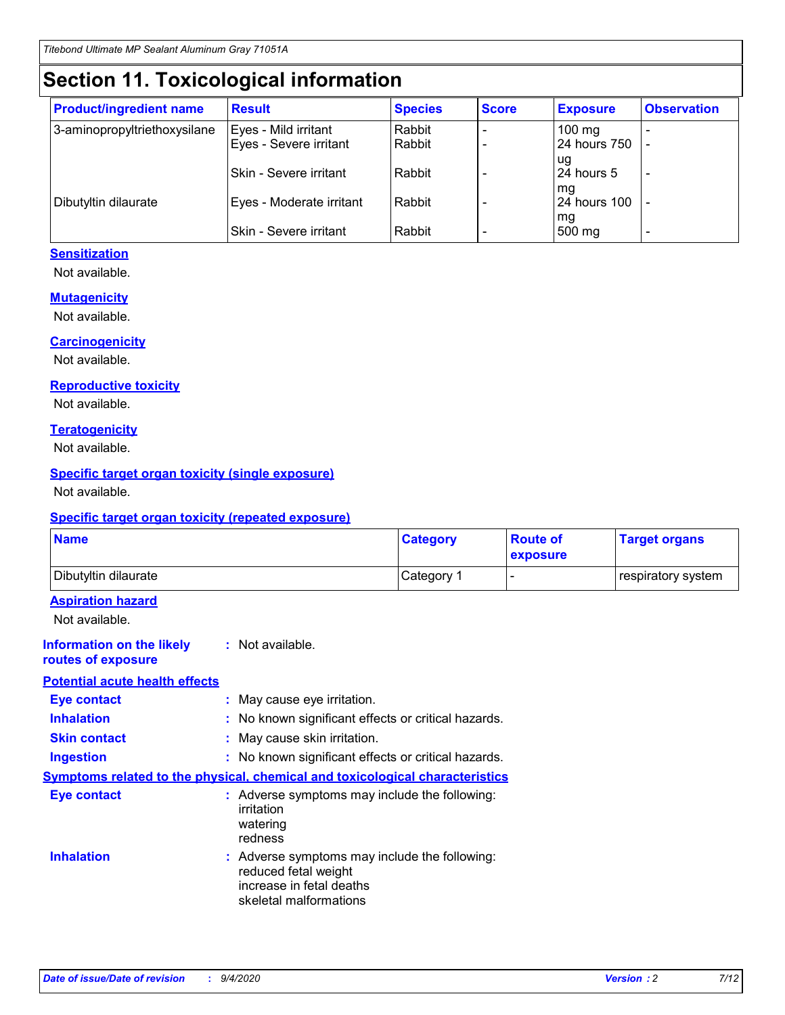# **Section 11. Toxicological information**

| <b>Product/ingredient name</b> | <b>Result</b>                 | <b>Species</b> | <b>Score</b> | <b>Exposure</b>    | <b>Observation</b> |
|--------------------------------|-------------------------------|----------------|--------------|--------------------|--------------------|
| 3-aminopropyltriethoxysilane   | Eyes - Mild irritant          | Rabbit         |              | $100$ mg           |                    |
|                                | Eyes - Severe irritant        | Rabbit         |              | 24 hours 750       |                    |
|                                |                               |                |              | ug                 |                    |
|                                | <b>Skin - Severe irritant</b> | Rabbit         |              | 24 hours 5         | ۰                  |
| Dibutyltin dilaurate           | Eyes - Moderate irritant      | Rabbit         |              | mq<br>24 hours 100 |                    |
|                                |                               |                |              | mg                 |                    |
|                                | Skin - Severe irritant        | Rabbit         |              | 500 mg             |                    |

#### **Sensitization**

Not available.

#### **Mutagenicity**

Not available.

#### **Carcinogenicity**

Not available.

#### **Reproductive toxicity**

Not available.

#### **Teratogenicity**

Not available.

#### **Specific target organ toxicity (single exposure)**

Not available.

#### **Specific target organ toxicity (repeated exposure)**

| <b>Name</b>                                                                  |                                                                            | <b>Category</b>                                     | <b>Route of</b><br>exposure  | <b>Target organs</b> |
|------------------------------------------------------------------------------|----------------------------------------------------------------------------|-----------------------------------------------------|------------------------------|----------------------|
| Dibutyltin dilaurate                                                         |                                                                            | Category 1                                          | $\qquad \qquad \blacksquare$ | respiratory system   |
| <b>Aspiration hazard</b><br>Not available.                                   |                                                                            |                                                     |                              |                      |
| <b>Information on the likely</b><br>routes of exposure                       | : Not available.                                                           |                                                     |                              |                      |
| <b>Potential acute health effects</b>                                        |                                                                            |                                                     |                              |                      |
| Eye contact                                                                  | : May cause eye irritation.                                                |                                                     |                              |                      |
| <b>Inhalation</b>                                                            |                                                                            | : No known significant effects or critical hazards. |                              |                      |
| <b>Skin contact</b>                                                          | : May cause skin irritation.                                               |                                                     |                              |                      |
| <b>Ingestion</b>                                                             |                                                                            | : No known significant effects or critical hazards. |                              |                      |
| Symptoms related to the physical, chemical and toxicological characteristics |                                                                            |                                                     |                              |                      |
| <b>Eye contact</b>                                                           | irritation<br>watering<br>redness                                          | : Adverse symptoms may include the following:       |                              |                      |
| <b>Inhalation</b>                                                            | reduced fetal weight<br>increase in fetal deaths<br>skeletal malformations | : Adverse symptoms may include the following:       |                              |                      |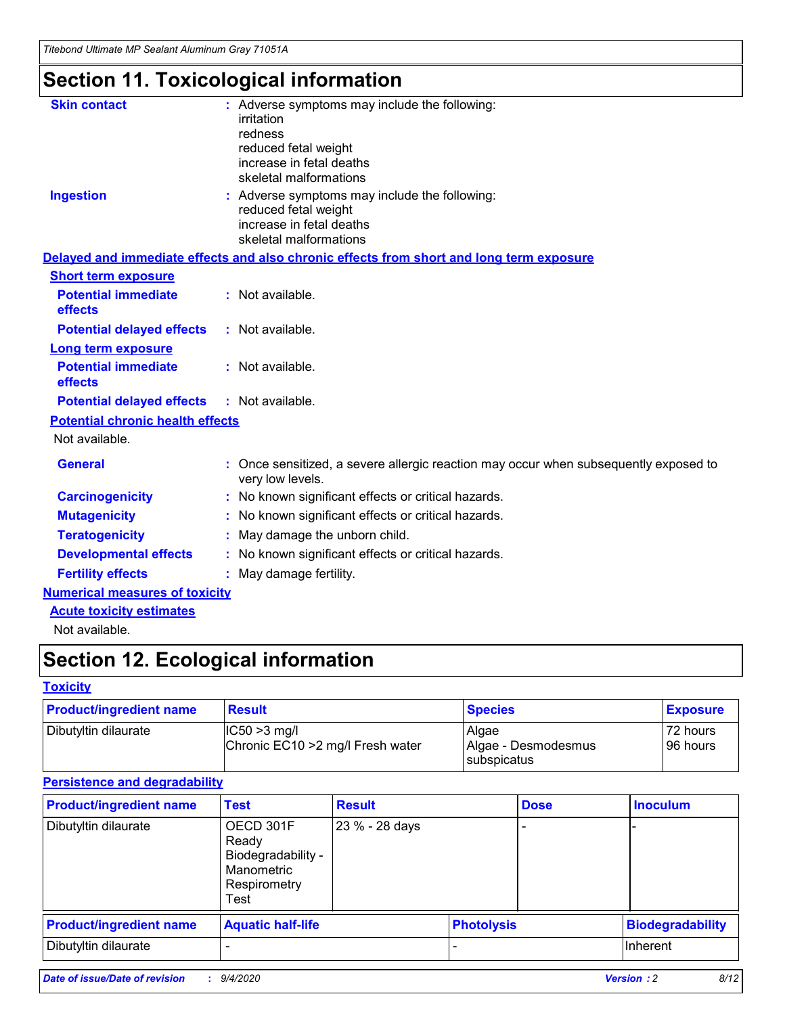*Titebond Ultimate MP Sealant Aluminum Gray 71051A*

# **Section 11. Toxicological information**

| <b>Skin contact</b>                     | : Adverse symptoms may include the following:                                                          |
|-----------------------------------------|--------------------------------------------------------------------------------------------------------|
|                                         | irritation                                                                                             |
|                                         | redness                                                                                                |
|                                         | reduced fetal weight                                                                                   |
|                                         | increase in fetal deaths                                                                               |
|                                         | skeletal malformations                                                                                 |
| <b>Ingestion</b>                        | : Adverse symptoms may include the following:                                                          |
|                                         | reduced fetal weight                                                                                   |
|                                         | increase in fetal deaths                                                                               |
|                                         | skeletal malformations                                                                                 |
|                                         | Delayed and immediate effects and also chronic effects from short and long term exposure               |
| <b>Short term exposure</b>              |                                                                                                        |
| <b>Potential immediate</b>              | : Not available.                                                                                       |
| effects                                 |                                                                                                        |
| <b>Potential delayed effects</b>        | : Not available.                                                                                       |
| <b>Long term exposure</b>               |                                                                                                        |
| <b>Potential immediate</b>              | : Not available.                                                                                       |
| effects                                 |                                                                                                        |
| <b>Potential delayed effects</b>        | : Not available.                                                                                       |
| <b>Potential chronic health effects</b> |                                                                                                        |
| Not available.                          |                                                                                                        |
| <b>General</b>                          | Once sensitized, a severe allergic reaction may occur when subsequently exposed to<br>very low levels. |
| <b>Carcinogenicity</b>                  | : No known significant effects or critical hazards.                                                    |
| <b>Mutagenicity</b>                     | : No known significant effects or critical hazards.                                                    |
| <b>Teratogenicity</b>                   | May damage the unborn child.                                                                           |
| <b>Developmental effects</b>            | : No known significant effects or critical hazards.                                                    |
| <b>Fertility effects</b>                | : May damage fertility.                                                                                |
| <b>Numerical measures of toxicity</b>   |                                                                                                        |
| <b>Acute toxicity estimates</b>         |                                                                                                        |
| الملمانون والملك                        |                                                                                                        |

Not available.

# **Section 12. Ecological information**

#### **Toxicity**

| <b>Product/ingredient name</b> | <b>Result</b>                                       | <b>Species</b>               | <b>Exposure</b>       |
|--------------------------------|-----------------------------------------------------|------------------------------|-----------------------|
| Dibutyltin dilaurate           | $ CC50>3$ mg/l<br>Chronic EC10 > 2 mg/l Fresh water | Algae<br>Algae - Desmodesmus | 72 hours<br>196 hours |
|                                |                                                     | <b>I</b> subspicatus         |                       |

#### **Persistence and degradability**

| <b>Product/ingredient name</b> | <b>Test</b>                                                                    | <b>Result</b>  |                   | <b>Dose</b> | <b>Inoculum</b>         |
|--------------------------------|--------------------------------------------------------------------------------|----------------|-------------------|-------------|-------------------------|
| Dibutyltin dilaurate           | OECD 301F<br>Ready<br>Biodegradability -<br>Manometric<br>Respirometry<br>Test | 23 % - 28 days |                   |             |                         |
| <b>Product/ingredient name</b> | <b>Aquatic half-life</b>                                                       |                | <b>Photolysis</b> |             | <b>Biodegradability</b> |
| Dibutyltin dilaurate           |                                                                                |                |                   |             | <b>Inherent</b>         |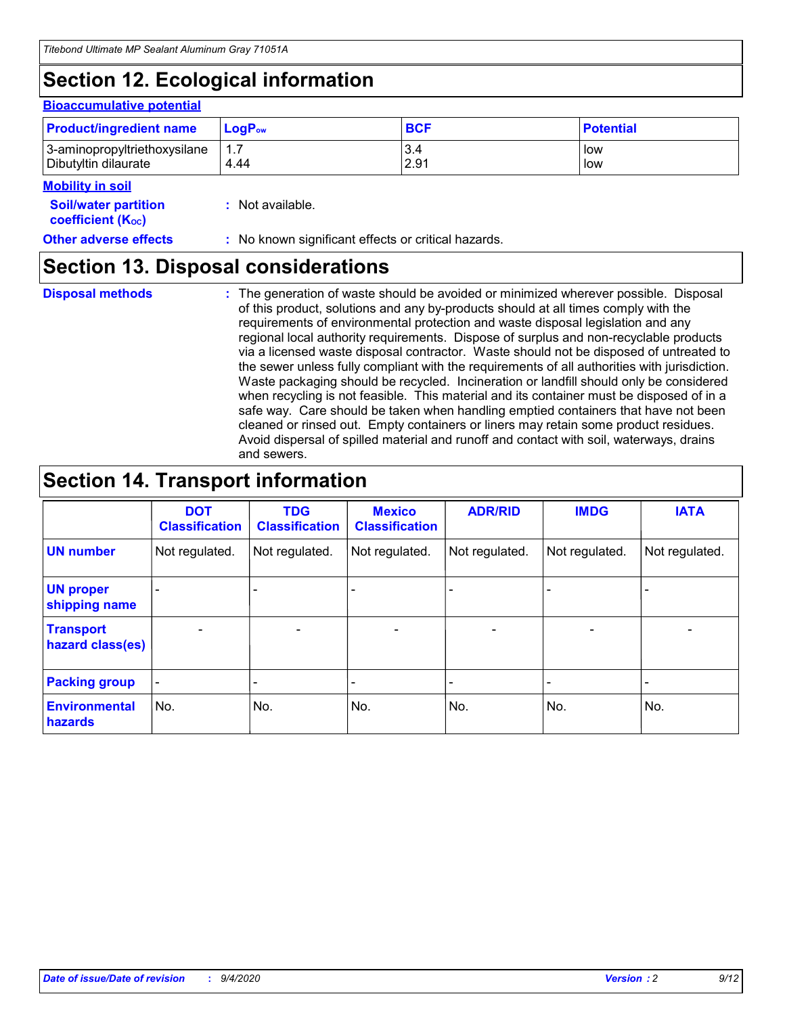# **Section 12. Ecological information**

#### **Bioaccumulative potential**

| <b>Product/ingredient name</b> | <b>LogP</b> <sub>ow</sub> | <b>BCF</b> | <b>Potential</b> |
|--------------------------------|---------------------------|------------|------------------|
| 3-aminopropyltriethoxysilane   | 4.44                      | 3.4        | low              |
| Dibutyltin dilaurate           |                           | 2.91       | low              |

#### **Mobility in soil**

| <b>Soil/water partition</b> | $:$ Not available. |
|-----------------------------|--------------------|
| <b>coefficient (Koc)</b>    |                    |

| <b>Other adverse effects</b> | : No known significant effects or critical hazards. |
|------------------------------|-----------------------------------------------------|
|------------------------------|-----------------------------------------------------|

### **Section 13. Disposal considerations**

**Disposal methods :**

The generation of waste should be avoided or minimized wherever possible. Disposal of this product, solutions and any by-products should at all times comply with the requirements of environmental protection and waste disposal legislation and any regional local authority requirements. Dispose of surplus and non-recyclable products via a licensed waste disposal contractor. Waste should not be disposed of untreated to the sewer unless fully compliant with the requirements of all authorities with jurisdiction. Waste packaging should be recycled. Incineration or landfill should only be considered when recycling is not feasible. This material and its container must be disposed of in a safe way. Care should be taken when handling emptied containers that have not been cleaned or rinsed out. Empty containers or liners may retain some product residues. Avoid dispersal of spilled material and runoff and contact with soil, waterways, drains and sewers.

### **Section 14. Transport information**

|                                      | <b>DOT</b><br><b>Classification</b> | <b>TDG</b><br><b>Classification</b> | <b>Mexico</b><br><b>Classification</b> | <b>ADR/RID</b>           | <b>IMDG</b>              | <b>IATA</b>    |
|--------------------------------------|-------------------------------------|-------------------------------------|----------------------------------------|--------------------------|--------------------------|----------------|
| <b>UN number</b>                     | Not regulated.                      | Not regulated.                      | Not regulated.                         | Not regulated.           | Not regulated.           | Not regulated. |
| <b>UN proper</b><br>shipping name    |                                     |                                     |                                        |                          |                          |                |
| <b>Transport</b><br>hazard class(es) |                                     | $\overline{\phantom{0}}$            | $\qquad \qquad \blacksquare$           | $\overline{\phantom{0}}$ | $\overline{\phantom{0}}$ |                |
| <b>Packing group</b>                 |                                     |                                     |                                        |                          |                          |                |
| <b>Environmental</b><br>hazards      | No.                                 | No.                                 | No.                                    | No.                      | No.                      | No.            |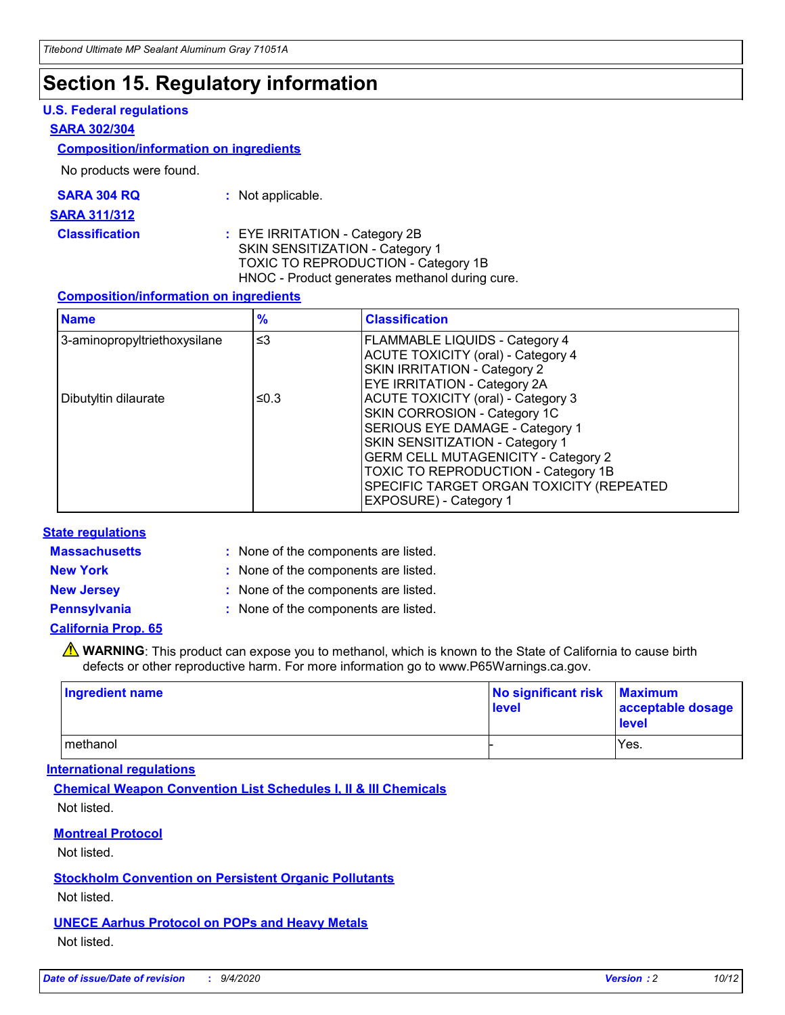### **Section 15. Regulatory information**

#### **U.S. Federal regulations**

#### **SARA 302/304**

#### **Composition/information on ingredients**

No products were found.

| SARA 304 RQ | Not applicable. |
|-------------|-----------------|
|-------------|-----------------|

#### **SARA 311/312**

#### **Classification :** EYE IRRITATION - Category 2B SKIN SENSITIZATION - Category 1 TOXIC TO REPRODUCTION - Category 1B HNOC - Product generates methanol during cure.

#### **Composition/information on ingredients**

| <b>Name</b>                  | $\frac{9}{6}$ | <b>Classification</b>                                                                                                                                                                                                                                                                                      |
|------------------------------|---------------|------------------------------------------------------------------------------------------------------------------------------------------------------------------------------------------------------------------------------------------------------------------------------------------------------------|
| 3-aminopropyltriethoxysilane | $\leq$ 3      | <b>FLAMMABLE LIQUIDS - Category 4</b><br><b>ACUTE TOXICITY (oral) - Category 4</b><br><b>SKIN IRRITATION - Category 2</b><br>EYE IRRITATION - Category 2A                                                                                                                                                  |
| Dibutyltin dilaurate         | ≤0.3          | <b>ACUTE TOXICITY (oral) - Category 3</b><br>SKIN CORROSION - Category 1C<br>SERIOUS EYE DAMAGE - Category 1<br>SKIN SENSITIZATION - Category 1<br><b>GERM CELL MUTAGENICITY - Category 2</b><br>TOXIC TO REPRODUCTION - Category 1B<br>SPECIFIC TARGET ORGAN TOXICITY (REPEATED<br>EXPOSURE) - Category 1 |

#### **State regulations**

**Massachusetts :**

: None of the components are listed.

**New York :** None of the components are listed.

**New Jersey :** None of the components are listed.

**Pennsylvania :** None of the components are listed.

#### **California Prop. 65**

WARNING: This product can expose you to methanol, which is known to the State of California to cause birth defects or other reproductive harm. For more information go to www.P65Warnings.ca.gov.

| Ingredient name | No significant risk<br>level | <b>Maximum</b><br>acceptable dosage<br><b>level</b> |
|-----------------|------------------------------|-----------------------------------------------------|
| l methanol      |                              | Yes.                                                |

#### **International regulations**

**Chemical Weapon Convention List Schedules I, II & III Chemicals** Not listed.

#### **Montreal Protocol**

Not listed.

**Stockholm Convention on Persistent Organic Pollutants**

Not listed.

#### **UNECE Aarhus Protocol on POPs and Heavy Metals** Not listed.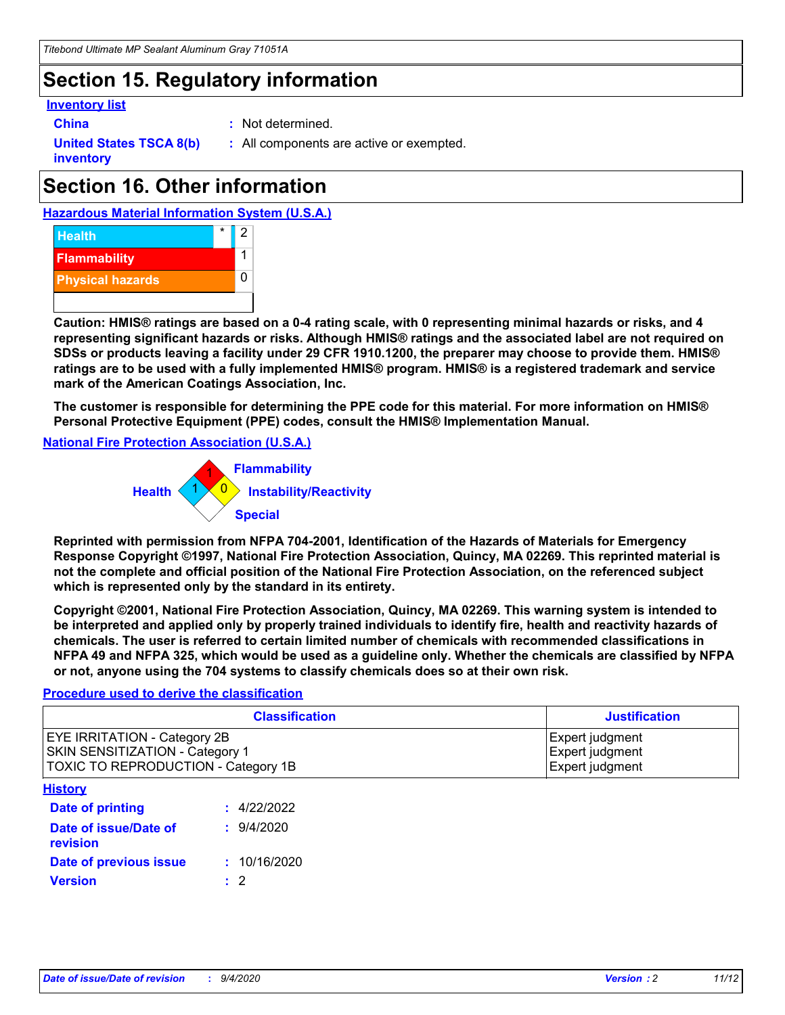### **Section 15. Regulatory information**

#### **Inventory list**

- 
- **China :** Not determined.

**United States TSCA 8(b) inventory**

**:** All components are active or exempted.

# **Section 16. Other information**

**Hazardous Material Information System (U.S.A.)**



**Caution: HMIS® ratings are based on a 0-4 rating scale, with 0 representing minimal hazards or risks, and 4 representing significant hazards or risks. Although HMIS® ratings and the associated label are not required on SDSs or products leaving a facility under 29 CFR 1910.1200, the preparer may choose to provide them. HMIS® ratings are to be used with a fully implemented HMIS® program. HMIS® is a registered trademark and service mark of the American Coatings Association, Inc.**

**The customer is responsible for determining the PPE code for this material. For more information on HMIS® Personal Protective Equipment (PPE) codes, consult the HMIS® Implementation Manual.**

**National Fire Protection Association (U.S.A.)**



**Reprinted with permission from NFPA 704-2001, Identification of the Hazards of Materials for Emergency Response Copyright ©1997, National Fire Protection Association, Quincy, MA 02269. This reprinted material is not the complete and official position of the National Fire Protection Association, on the referenced subject which is represented only by the standard in its entirety.**

**Copyright ©2001, National Fire Protection Association, Quincy, MA 02269. This warning system is intended to be interpreted and applied only by properly trained individuals to identify fire, health and reactivity hazards of chemicals. The user is referred to certain limited number of chemicals with recommended classifications in NFPA 49 and NFPA 325, which would be used as a guideline only. Whether the chemicals are classified by NFPA or not, anyone using the 704 systems to classify chemicals does so at their own risk.**

#### **Procedure used to derive the classification**

| <b>Classification</b>                                                                                                | <b>Justification</b>                                  |
|----------------------------------------------------------------------------------------------------------------------|-------------------------------------------------------|
| <b>EYE IRRITATION - Category 2B</b><br><b>SKIN SENSITIZATION - Category 1</b><br>TOXIC TO REPRODUCTION - Category 1B | Expert judgment<br>Expert judgment<br>Expert judgment |
| <b>History</b>                                                                                                       |                                                       |

| <u>.</u>                          |              |  |
|-----------------------------------|--------------|--|
| <b>Date of printing</b>           | : 4/22/2022  |  |
| Date of issue/Date of<br>revision | 9/4/2020     |  |
| Date of previous issue            | : 10/16/2020 |  |
| <b>Version</b>                    | $\cdot$ 2    |  |
|                                   |              |  |